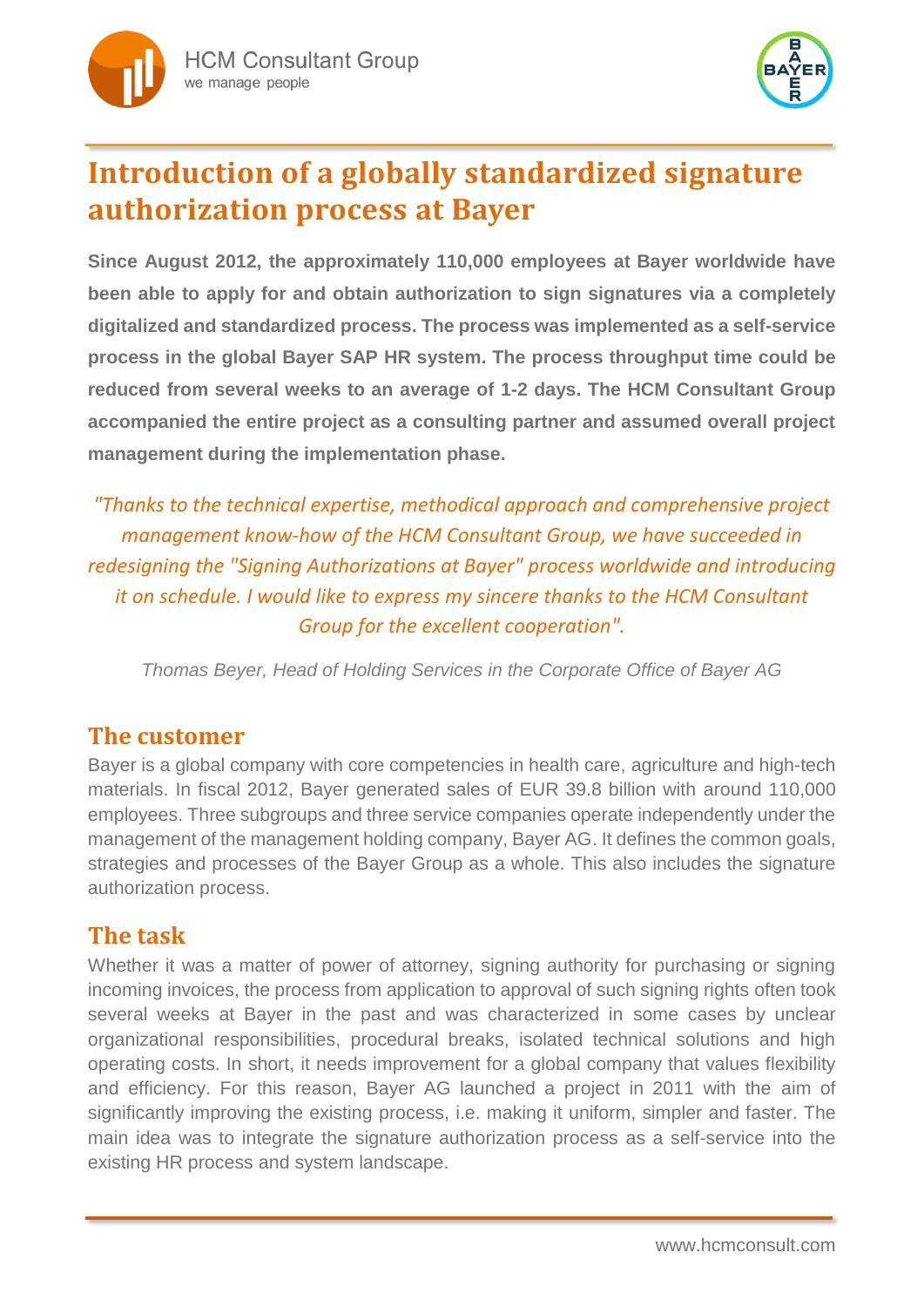



# **Introduction of a globally standardized signature authorization process at Bayer**

**Since August 2012, the approximately 110,000 employees at Bayer worldwide have been able to apply for and obtain authorization to sign signatures via a completely digitalized and standardized process. The process was implemented as a self-service process in the global Bayer SAP HR system. The process throughput time could be reduced from several weeks to an average of 1-2 days. The HCM Consultant Group accompanied the entire project as a consulting partner and assumed overall project management during the implementation phase.**

*"Thanks to the technical expertise, methodical approach and comprehensive project management know-how of the HCM Consultant Group, we have succeeded in redesigning the "Signing Authorizations at Bayer" process worldwide and introducing it on schedule. I would like to express my sincere thanks to the HCM Consultant Group for the excellent cooperation".*

*Thomas Beyer, Head of Holding Services in the Corporate Office of Bayer AG*

#### **The customer**

Bayer is a global company with core competencies in health care, agriculture and high-tech materials. In fiscal 2012, Bayer generated sales of EUR 39.8 billion with around 110,000 employees. Three subgroups and three service companies operate independently under the management of the management holding company, Bayer AG. It defines the common goals, strategies and processes of the Bayer Group as a whole. This also includes the signature authorization process.

## **The task**

Whether it was a matter of power of attorney, signing authority for purchasing or signing incoming invoices, the process from application to approval of such signing rights often took several weeks at Bayer in the past and was characterized in some cases by unclear organizational responsibilities, procedural breaks, isolated technical solutions and high operating costs. In short, it needs improvement for a global company that values flexibility and efficiency. For this reason, Bayer AG launched a project in 2011 with the aim of significantly improving the existing process, i.e. making it uniform, simpler and faster. The main idea was to integrate the signature authorization process as a self-service into the existing HR process and system landscape.